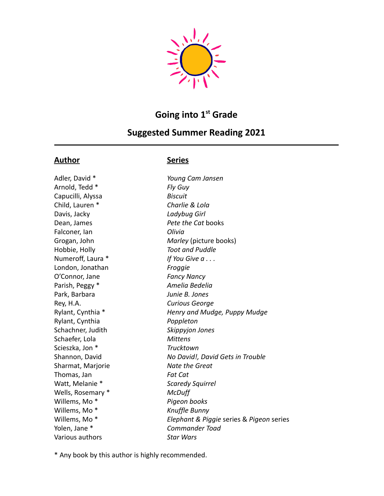

# **Going into 1 st Grade**

## **Suggested Summer Reading 2021**

### **Author Series**

Adler, David \* *Young Cam Jansen* Arnold, Tedd \* *Fly Guy* Capucilli, Alyssa *Biscuit* Child, Lauren \* *Charlie & Lola* Davis, Jacky *Ladybug Girl* Dean, James *Pete the Cat* books Falconer, Ian *Olivia* Hobbie, Holly *Toot and Puddle* Numeroff, Laura \* *If You Give a . . .* London, Jonathan *Froggie* O'Connor, Jane *Fancy Nancy* Parish, Peggy \* *Amelia Bedelia* Park, Barbara *Junie B. Jones* Rey, H.A. *Curious George* Rylant, Cynthia *Poppleton* Schachner, Judith *Skippyjon Jones* Schaefer, Lola *Mittens* Scieszka, Jon \* *Trucktown* Sharmat, Marjorie *Nate the Great* Thomas, Jan *Fat Cat* Watt, Melanie \* *Scaredy Squirrel* Wells, Rosemary \* *McDuff* Willems, Mo \* *Pigeon books* Willems, Mo \* *Knuffle Bunny* Yolen, Jane \* *Commander Toad* Various authors *Star Wars*

Grogan, John *Marley* (picture books) Rylant, Cynthia \* *Henry and Mudge, Puppy Mudge* Shannon, David *No David!, David Gets in Trouble* Willems, Mo \* *Elephant & Piggie* series & *Pigeon* series

\* Any book by this author is highly recommended.